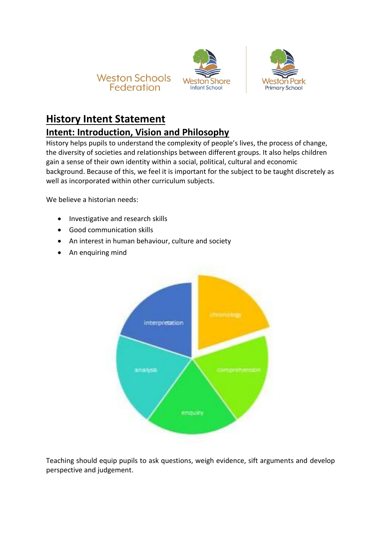





## **History Intent Statement**

## **Intent: Introduction, Vision and Philosophy**

History helps pupils to understand the complexity of people's lives, the process of change, the diversity of societies and relationships between different groups. It also helps children gain a sense of their own identity within a social, political, cultural and economic background. Because of this, we feel it is important for the subject to be taught discretely as well as incorporated within other curriculum subjects.

We believe a historian needs:

- Investigative and research skills
- Good communication skills
- An interest in human behaviour, culture and society
- An enquiring mind



Teaching should equip pupils to ask questions, weigh evidence, sift arguments and develop perspective and judgement.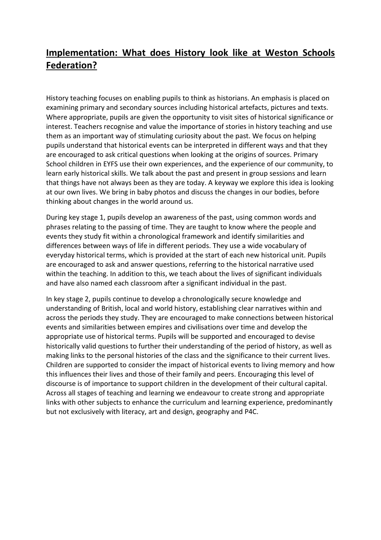## **Implementation: What does History look like at Weston Schools Federation?**

History teaching focuses on enabling pupils to think as historians. An emphasis is placed on examining primary and secondary sources including historical artefacts, pictures and texts. Where appropriate, pupils are given the opportunity to visit sites of historical significance or interest. Teachers recognise and value the importance of stories in history teaching and use them as an important way of stimulating curiosity about the past. We focus on helping pupils understand that historical events can be interpreted in different ways and that they are encouraged to ask critical questions when looking at the origins of sources. Primary School children in EYFS use their own experiences, and the experience of our community, to learn early historical skills. We talk about the past and present in group sessions and learn that things have not always been as they are today. A keyway we explore this idea is looking at our own lives. We bring in baby photos and discuss the changes in our bodies, before thinking about changes in the world around us.

During key stage 1, pupils develop an awareness of the past, using common words and phrases relating to the passing of time. They are taught to know where the people and events they study fit within a chronological framework and identify similarities and differences between ways of life in different periods. They use a wide vocabulary of everyday historical terms, which is provided at the start of each new historical unit. Pupils are encouraged to ask and answer questions, referring to the historical narrative used within the teaching. In addition to this, we teach about the lives of significant individuals and have also named each classroom after a significant individual in the past.

In key stage 2, pupils continue to develop a chronologically secure knowledge and understanding of British, local and world history, establishing clear narratives within and across the periods they study. They are encouraged to make connections between historical events and similarities between empires and civilisations over time and develop the appropriate use of historical terms. Pupils will be supported and encouraged to devise historically valid questions to further their understanding of the period of history, as well as making links to the personal histories of the class and the significance to their current lives. Children are supported to consider the impact of historical events to living memory and how this influences their lives and those of their family and peers. Encouraging this level of discourse is of importance to support children in the development of their cultural capital. Across all stages of teaching and learning we endeavour to create strong and appropriate links with other subjects to enhance the curriculum and learning experience, predominantly but not exclusively with literacy, art and design, geography and P4C.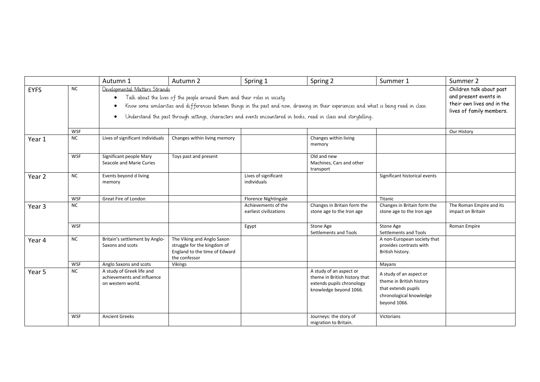|             |                                                                                                                                                                                                                                                                                                                                                                                           | Autumn 1                                                                     | Autumn 2                                                                                                    | Spring 1                                      | Spring 2                                                                                                        | Summer 1                                                                                                              | Summer 2                                                                                                    |
|-------------|-------------------------------------------------------------------------------------------------------------------------------------------------------------------------------------------------------------------------------------------------------------------------------------------------------------------------------------------------------------------------------------------|------------------------------------------------------------------------------|-------------------------------------------------------------------------------------------------------------|-----------------------------------------------|-----------------------------------------------------------------------------------------------------------------|-----------------------------------------------------------------------------------------------------------------------|-------------------------------------------------------------------------------------------------------------|
| <b>EYFS</b> | <b>NC</b><br>Developmental Matters Strands<br>Talk about the lives of the people around them and their roles in society.<br>Know some similarities and differences between things in the past and now, drawing on their experiences and what is being read in class.<br>Understand the past through settings, characters and events encountered in books, read in class and storytelling. |                                                                              |                                                                                                             |                                               |                                                                                                                 |                                                                                                                       | Children talk about past<br>and present events in<br>their own lives and in the<br>lives of family members. |
|             | WSF                                                                                                                                                                                                                                                                                                                                                                                       |                                                                              |                                                                                                             |                                               |                                                                                                                 |                                                                                                                       | Our History                                                                                                 |
| Year 1      | <b>NC</b>                                                                                                                                                                                                                                                                                                                                                                                 | Lives of significant individuals                                             | Changes within living memory                                                                                |                                               | Changes within living<br>memory                                                                                 |                                                                                                                       |                                                                                                             |
|             | WSF                                                                                                                                                                                                                                                                                                                                                                                       | Significant people Mary<br>Seacole and Marie Curies                          | Toys past and present                                                                                       |                                               | Old and new<br>Machines, Cars and other<br>transport                                                            |                                                                                                                       |                                                                                                             |
| Year 2      | <b>NC</b>                                                                                                                                                                                                                                                                                                                                                                                 | Events beyond d living<br>memory                                             |                                                                                                             | Lives of significant<br>individuals           |                                                                                                                 | Significant historical events                                                                                         |                                                                                                             |
|             | WSF                                                                                                                                                                                                                                                                                                                                                                                       | Great Fire of London                                                         |                                                                                                             | Florence Nightingale                          |                                                                                                                 | Titanic                                                                                                               |                                                                                                             |
| Year 3      | <b>NC</b>                                                                                                                                                                                                                                                                                                                                                                                 |                                                                              |                                                                                                             | Achievements of the<br>earliest civilizations | Changes in Britain form the<br>stone age to the Iron age                                                        | Changes in Britain form the<br>stone age to the Iron age                                                              | The Roman Empire and its<br>impact on Britain                                                               |
|             | <b>WSF</b>                                                                                                                                                                                                                                                                                                                                                                                |                                                                              |                                                                                                             | Egypt                                         | Stone Age<br>Settlements and Tools                                                                              | Stone Age<br>Settlements and Tools                                                                                    | Roman Empire                                                                                                |
| Year 4      | NC                                                                                                                                                                                                                                                                                                                                                                                        | Britain's settlement by Anglo-<br>Saxons and scots                           | The Viking and Anglo Saxon<br>struggle for the kingdom of<br>England to the time of Edward<br>the confessor |                                               |                                                                                                                 | A non-European society that<br>provides contrasts with<br>British history.                                            |                                                                                                             |
|             | WSF                                                                                                                                                                                                                                                                                                                                                                                       | Anglo Saxons and scots                                                       | <b>Vikings</b>                                                                                              |                                               |                                                                                                                 | Mayans                                                                                                                |                                                                                                             |
| Year 5      | <b>NC</b>                                                                                                                                                                                                                                                                                                                                                                                 | A study of Greek life and<br>achievements and influence<br>on western world. |                                                                                                             |                                               | A study of an aspect or<br>theme in British history that<br>extends pupils chronology<br>knowledge beyond 1066. | A study of an aspect or<br>theme in British history<br>that extends pupils<br>chronological knowledge<br>beyond 1066. |                                                                                                             |
|             | <b>WSF</b>                                                                                                                                                                                                                                                                                                                                                                                | <b>Ancient Greeks</b>                                                        |                                                                                                             |                                               | Journeys: the story of<br>migration to Britain.                                                                 | Victorians                                                                                                            |                                                                                                             |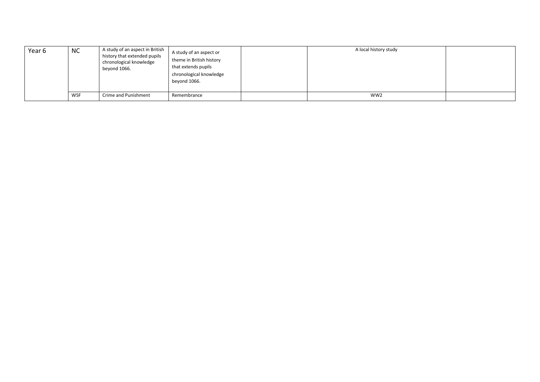| Year 6 | <b>NC</b> | A study of an aspect in British<br>history that extended pupils<br>chronological knowledge<br>beyond 1066. | A study of an aspect or<br>theme in British history<br>that extends pupils<br>chronological knowledge<br>beyond 1066. | A local history study |  |
|--------|-----------|------------------------------------------------------------------------------------------------------------|-----------------------------------------------------------------------------------------------------------------------|-----------------------|--|
|        | WSF       | Crime and Punishment                                                                                       | Remembrance                                                                                                           | WW <sub>2</sub>       |  |